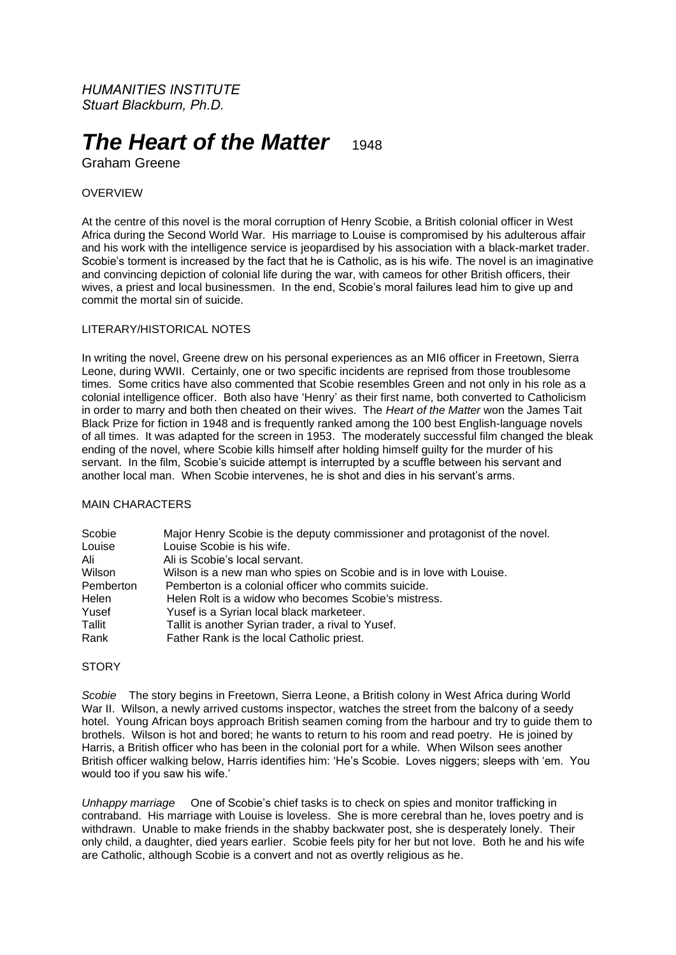*HUMANITIES INSTITUTE Stuart Blackburn, Ph.D.*

# *The Heart of the Matter* **1948**

Graham Greene

# OVERVIEW

At the centre of this novel is the moral corruption of Henry Scobie, a British colonial officer in West Africa during the Second World War. His marriage to Louise is compromised by his adulterous affair and his work with the intelligence service is jeopardised by his association with a black-market trader. Scobie's torment is increased by the fact that he is Catholic, as is his wife. The novel is an imaginative and convincing depiction of colonial life during the war, with cameos for other British officers, their wives, a priest and local businessmen. In the end, Scobie's moral failures lead him to give up and commit the mortal sin of suicide.

# LITERARY/HISTORICAL NOTES

In writing the novel, Greene drew on his personal experiences as an MI6 officer in Freetown, Sierra Leone, during WWII. Certainly, one or two specific incidents are reprised from those troublesome times. Some critics have also commented that Scobie resembles Green and not only in his role as a colonial intelligence officer. Both also have 'Henry' as their first name, both converted to Catholicism in order to marry and both then cheated on their wives. The *Heart of the Matter* won the James Tait Black Prize for fiction in 1948 and is frequently ranked among the 100 best English-language novels of all times. It was adapted for the screen in 1953. The moderately successful film changed the bleak ending of the novel, where Scobie kills himself after holding himself guilty for the murder of his servant. In the film, Scobie's suicide attempt is interrupted by a scuffle between his servant and another local man. When Scobie intervenes, he is shot and dies in his servant's arms.

#### MAIN CHARACTERS

| Scobie    | Major Henry Scobie is the deputy commissioner and protagonist of the novel. |
|-----------|-----------------------------------------------------------------------------|
| Louise    | Louise Scobie is his wife.                                                  |
| Ali       | Ali is Scobie's local servant.                                              |
| Wilson    | Wilson is a new man who spies on Scobie and is in love with Louise.         |
| Pemberton | Pemberton is a colonial officer who commits suicide.                        |
| Helen     | Helen Rolt is a widow who becomes Scobie's mistress.                        |
| Yusef     | Yusef is a Syrian local black marketeer.                                    |
| Tallit    | Tallit is another Syrian trader, a rival to Yusef.                          |
| Rank      | Father Rank is the local Catholic priest.                                   |

# **STORY**

*Scobie* The story begins in Freetown, Sierra Leone, a British colony in West Africa during World War II. Wilson, a newly arrived customs inspector, watches the street from the balcony of a seedy hotel. Young African boys approach British seamen coming from the harbour and try to guide them to brothels. Wilson is hot and bored; he wants to return to his room and read poetry. He is joined by Harris, a British officer who has been in the colonial port for a while. When Wilson sees another British officer walking below, Harris identifies him: 'He's Scobie. Loves niggers; sleeps with 'em. You would too if you saw his wife.'

*Unhappy marriage* One of Scobie's chief tasks is to check on spies and monitor trafficking in contraband. His marriage with Louise is loveless. She is more cerebral than he, loves poetry and is withdrawn. Unable to make friends in the shabby backwater post, she is desperately lonely. Their only child, a daughter, died years earlier. Scobie feels pity for her but not love. Both he and his wife are Catholic, although Scobie is a convert and not as overtly religious as he.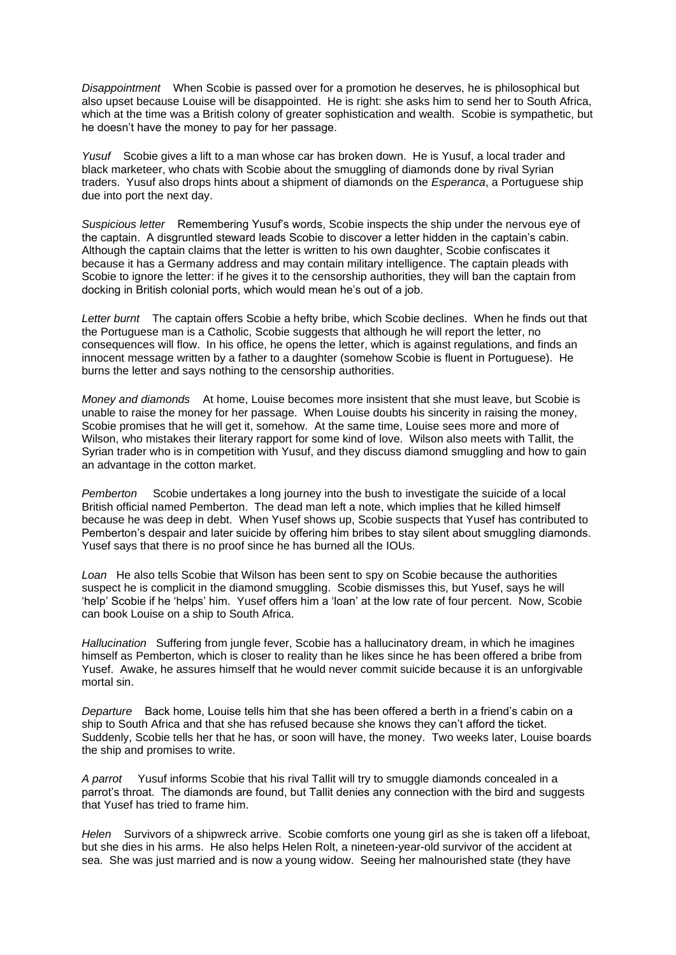*Disappointment* When Scobie is passed over for a promotion he deserves, he is philosophical but also upset because Louise will be disappointed. He is right: she asks him to send her to South Africa, which at the time was a British colony of greater sophistication and wealth. Scobie is sympathetic, but he doesn't have the money to pay for her passage.

*Yusuf* Scobie gives a lift to a man whose car has broken down. He is Yusuf, a local trader and black marketeer, who chats with Scobie about the smuggling of diamonds done by rival Syrian traders. Yusuf also drops hints about a shipment of diamonds on the *Esperanca*, a Portuguese ship due into port the next day.

*Suspicious letter* Remembering Yusuf's words, Scobie inspects the ship under the nervous eye of the captain. A disgruntled steward leads Scobie to discover a letter hidden in the captain's cabin. Although the captain claims that the letter is written to his own daughter, Scobie confiscates it because it has a Germany address and may contain military intelligence. The captain pleads with Scobie to ignore the letter: if he gives it to the censorship authorities, they will ban the captain from docking in British colonial ports, which would mean he's out of a job.

*Letter burnt* The captain offers Scobie a hefty bribe, which Scobie declines. When he finds out that the Portuguese man is a Catholic, Scobie suggests that although he will report the letter, no consequences will flow. In his office, he opens the letter, which is against regulations, and finds an innocent message written by a father to a daughter (somehow Scobie is fluent in Portuguese). He burns the letter and says nothing to the censorship authorities.

*Money and diamonds* At home, Louise becomes more insistent that she must leave, but Scobie is unable to raise the money for her passage. When Louise doubts his sincerity in raising the money, Scobie promises that he will get it, somehow. At the same time, Louise sees more and more of Wilson, who mistakes their literary rapport for some kind of love. Wilson also meets with Tallit, the Syrian trader who is in competition with Yusuf, and they discuss diamond smuggling and how to gain an advantage in the cotton market.

*Pemberton* Scobie undertakes a long journey into the bush to investigate the suicide of a local British official named Pemberton. The dead man left a note, which implies that he killed himself because he was deep in debt. When Yusef shows up, Scobie suspects that Yusef has contributed to Pemberton's despair and later suicide by offering him bribes to stay silent about smuggling diamonds. Yusef says that there is no proof since he has burned all the IOUs.

*Loan* He also tells Scobie that Wilson has been sent to spy on Scobie because the authorities suspect he is complicit in the diamond smuggling. Scobie dismisses this, but Yusef, says he will 'help' Scobie if he 'helps' him. Yusef offers him a 'loan' at the low rate of four percent. Now, Scobie can book Louise on a ship to South Africa.

*Hallucination* Suffering from jungle fever, Scobie has a hallucinatory dream, in which he imagines himself as Pemberton, which is closer to reality than he likes since he has been offered a bribe from Yusef. Awake, he assures himself that he would never commit suicide because it is an unforgivable mortal sin.

*Departure* Back home, Louise tells him that she has been offered a berth in a friend's cabin on a ship to South Africa and that she has refused because she knows they can't afford the ticket. Suddenly, Scobie tells her that he has, or soon will have, the money. Two weeks later, Louise boards the ship and promises to write.

*A parrot* Yusuf informs Scobie that his rival Tallit will try to smuggle diamonds concealed in a parrot's throat. The diamonds are found, but Tallit denies any connection with the bird and suggests that Yusef has tried to frame him.

*Helen* Survivors of a shipwreck arrive. Scobie comforts one young girl as she is taken off a lifeboat, but she dies in his arms. He also helps Helen Rolt, a nineteen-year-old survivor of the accident at sea. She was just married and is now a young widow. Seeing her malnourished state (they have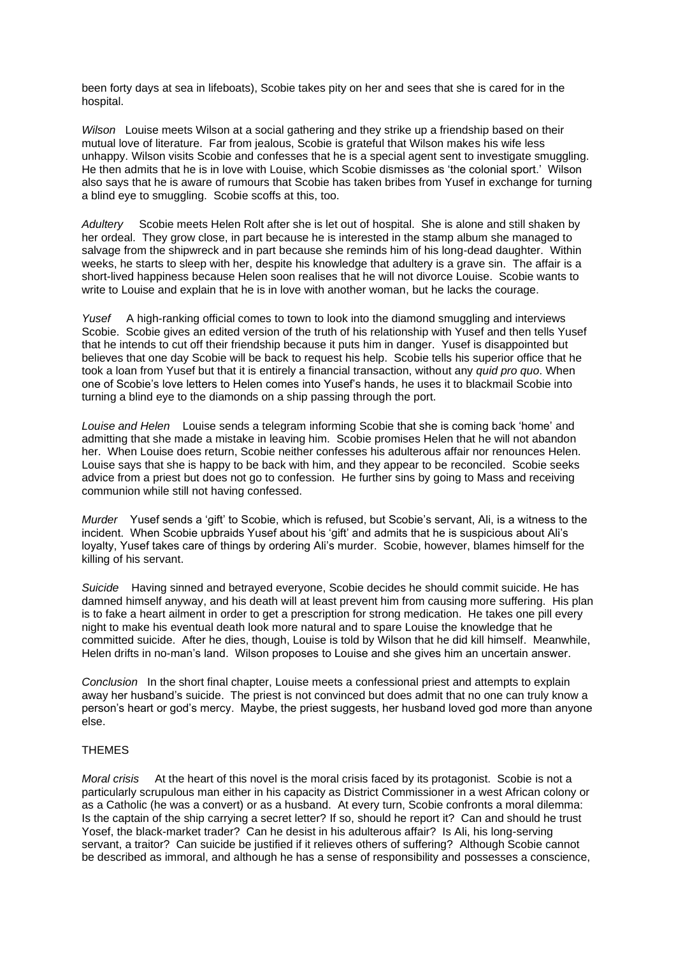been forty days at sea in lifeboats), Scobie takes pity on her and sees that she is cared for in the hospital.

*Wilson* Louise meets Wilson at a social gathering and they strike up a friendship based on their mutual love of literature. Far from jealous, Scobie is grateful that Wilson makes his wife less unhappy. Wilson visits Scobie and confesses that he is a special agent sent to investigate smuggling. He then admits that he is in love with Louise, which Scobie dismisses as 'the colonial sport.' Wilson also says that he is aware of rumours that Scobie has taken bribes from Yusef in exchange for turning a blind eye to smuggling. Scobie scoffs at this, too.

*Adultery* Scobie meets Helen Rolt after she is let out of hospital. She is alone and still shaken by her ordeal. They grow close, in part because he is interested in the stamp album she managed to salvage from the shipwreck and in part because she reminds him of his long-dead daughter. Within weeks, he starts to sleep with her, despite his knowledge that adultery is a grave sin. The affair is a short-lived happiness because Helen soon realises that he will not divorce Louise. Scobie wants to write to Louise and explain that he is in love with another woman, but he lacks the courage.

*Yusef* A high-ranking official comes to town to look into the diamond smuggling and interviews Scobie. Scobie gives an edited version of the truth of his relationship with Yusef and then tells Yusef that he intends to cut off their friendship because it puts him in danger. Yusef is disappointed but believes that one day Scobie will be back to request his help. Scobie tells his superior office that he took a loan from Yusef but that it is entirely a financial transaction, without any *quid pro quo*. When one of Scobie's love letters to Helen comes into Yusef's hands, he uses it to blackmail Scobie into turning a blind eye to the diamonds on a ship passing through the port.

*Louise and Helen* Louise sends a telegram informing Scobie that she is coming back 'home' and admitting that she made a mistake in leaving him. Scobie promises Helen that he will not abandon her. When Louise does return, Scobie neither confesses his adulterous affair nor renounces Helen. Louise says that she is happy to be back with him, and they appear to be reconciled. Scobie seeks advice from a priest but does not go to confession. He further sins by going to Mass and receiving communion while still not having confessed.

*Murder* Yusef sends a 'gift' to Scobie, which is refused, but Scobie's servant, Ali, is a witness to the incident. When Scobie upbraids Yusef about his 'gift' and admits that he is suspicious about Ali's loyalty, Yusef takes care of things by ordering Ali's murder. Scobie, however, blames himself for the killing of his servant.

*Suicide* Having sinned and betrayed everyone, Scobie decides he should commit suicide. He has damned himself anyway, and his death will at least prevent him from causing more suffering. His plan is to fake a heart ailment in order to get a prescription for strong medication. He takes one pill every night to make his eventual death look more natural and to spare Louise the knowledge that he committed suicide. After he dies, though, Louise is told by Wilson that he did kill himself. Meanwhile, Helen drifts in no-man's land. Wilson proposes to Louise and she gives him an uncertain answer.

*Conclusion* In the short final chapter, Louise meets a confessional priest and attempts to explain away her husband's suicide. The priest is not convinced but does admit that no one can truly know a person's heart or god's mercy. Maybe, the priest suggests, her husband loved god more than anyone else.

# THEMES

*Moral crisis* At the heart of this novel is the moral crisis faced by its protagonist. Scobie is not a particularly scrupulous man either in his capacity as District Commissioner in a west African colony or as a Catholic (he was a convert) or as a husband. At every turn, Scobie confronts a moral dilemma: Is the captain of the ship carrying a secret letter? If so, should he report it? Can and should he trust Yosef, the black-market trader? Can he desist in his adulterous affair? Is Ali, his long-serving servant, a traitor? Can suicide be justified if it relieves others of suffering? Although Scobie cannot be described as immoral, and although he has a sense of responsibility and possesses a conscience,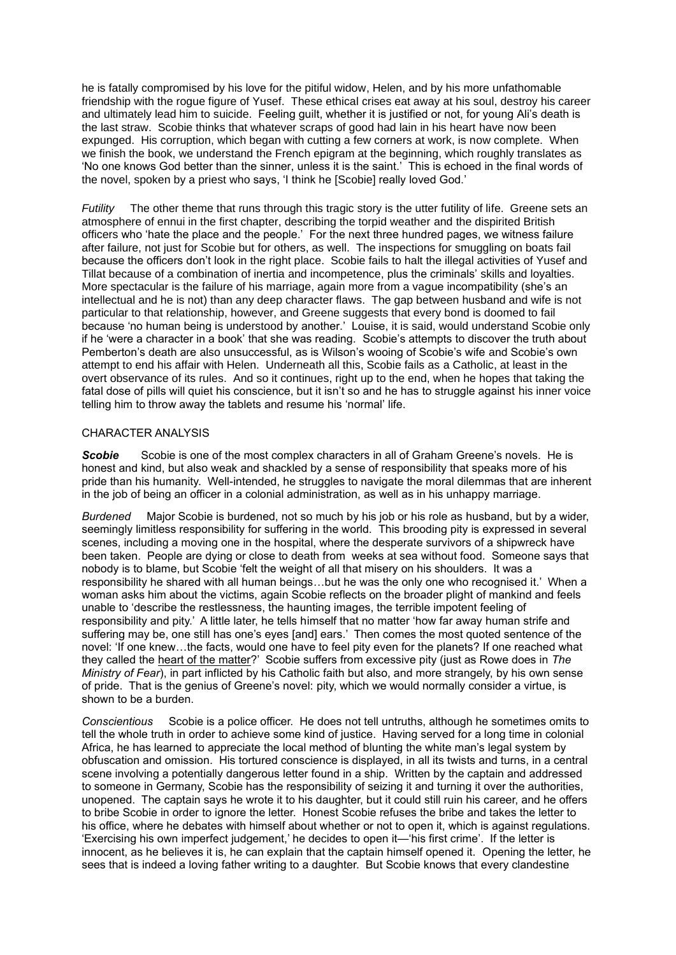he is fatally compromised by his love for the pitiful widow, Helen, and by his more unfathomable friendship with the rogue figure of Yusef. These ethical crises eat away at his soul, destroy his career and ultimately lead him to suicide. Feeling guilt, whether it is justified or not, for young Ali's death is the last straw. Scobie thinks that whatever scraps of good had lain in his heart have now been expunged. His corruption, which began with cutting a few corners at work, is now complete. When we finish the book, we understand the French epigram at the beginning, which roughly translates as 'No one knows God better than the sinner, unless it is the saint.' This is echoed in the final words of the novel, spoken by a priest who says, 'I think he [Scobie] really loved God.'

*Futility* The other theme that runs through this tragic story is the utter futility of life. Greene sets an atmosphere of ennui in the first chapter, describing the torpid weather and the dispirited British officers who 'hate the place and the people.' For the next three hundred pages, we witness failure after failure, not just for Scobie but for others, as well. The inspections for smuggling on boats fail because the officers don't look in the right place. Scobie fails to halt the illegal activities of Yusef and Tillat because of a combination of inertia and incompetence, plus the criminals' skills and loyalties. More spectacular is the failure of his marriage, again more from a vague incompatibility (she's an intellectual and he is not) than any deep character flaws. The gap between husband and wife is not particular to that relationship, however, and Greene suggests that every bond is doomed to fail because 'no human being is understood by another.' Louise, it is said, would understand Scobie only if he 'were a character in a book' that she was reading. Scobie's attempts to discover the truth about Pemberton's death are also unsuccessful, as is Wilson's wooing of Scobie's wife and Scobie's own attempt to end his affair with Helen. Underneath all this, Scobie fails as a Catholic, at least in the overt observance of its rules. And so it continues, right up to the end, when he hopes that taking the fatal dose of pills will quiet his conscience, but it isn't so and he has to struggle against his inner voice telling him to throw away the tablets and resume his 'normal' life.

#### CHARACTER ANALYSIS

**Scobie** Scobie is one of the most complex characters in all of Graham Greene's novels. He is honest and kind, but also weak and shackled by a sense of responsibility that speaks more of his pride than his humanity. Well-intended, he struggles to navigate the moral dilemmas that are inherent in the job of being an officer in a colonial administration, as well as in his unhappy marriage.

*Burdened* Major Scobie is burdened, not so much by his job or his role as husband, but by a wider, seemingly limitless responsibility for suffering in the world. This brooding pity is expressed in several scenes, including a moving one in the hospital, where the desperate survivors of a shipwreck have been taken. People are dying or close to death from weeks at sea without food. Someone says that nobody is to blame, but Scobie 'felt the weight of all that misery on his shoulders. It was a responsibility he shared with all human beings…but he was the only one who recognised it.' When a woman asks him about the victims, again Scobie reflects on the broader plight of mankind and feels unable to 'describe the restlessness, the haunting images, the terrible impotent feeling of responsibility and pity.' A little later, he tells himself that no matter 'how far away human strife and suffering may be, one still has one's eyes [and] ears.' Then comes the most quoted sentence of the novel: 'If one knew…the facts, would one have to feel pity even for the planets? If one reached what they called the heart of the matter?' Scobie suffers from excessive pity (just as Rowe does in *The Ministry of Fear*), in part inflicted by his Catholic faith but also, and more strangely, by his own sense of pride. That is the genius of Greene's novel: pity, which we would normally consider a virtue, is shown to be a burden.

*Conscientious* Scobie is a police officer. He does not tell untruths, although he sometimes omits to tell the whole truth in order to achieve some kind of justice. Having served for a long time in colonial Africa, he has learned to appreciate the local method of blunting the white man's legal system by obfuscation and omission. His tortured conscience is displayed, in all its twists and turns, in a central scene involving a potentially dangerous letter found in a ship. Written by the captain and addressed to someone in Germany, Scobie has the responsibility of seizing it and turning it over the authorities, unopened. The captain says he wrote it to his daughter, but it could still ruin his career, and he offers to bribe Scobie in order to ignore the letter. Honest Scobie refuses the bribe and takes the letter to his office, where he debates with himself about whether or not to open it, which is against regulations. 'Exercising his own imperfect judgement,' he decides to open it—'his first crime'. If the letter is innocent, as he believes it is, he can explain that the captain himself opened it. Opening the letter, he sees that is indeed a loving father writing to a daughter. But Scobie knows that every clandestine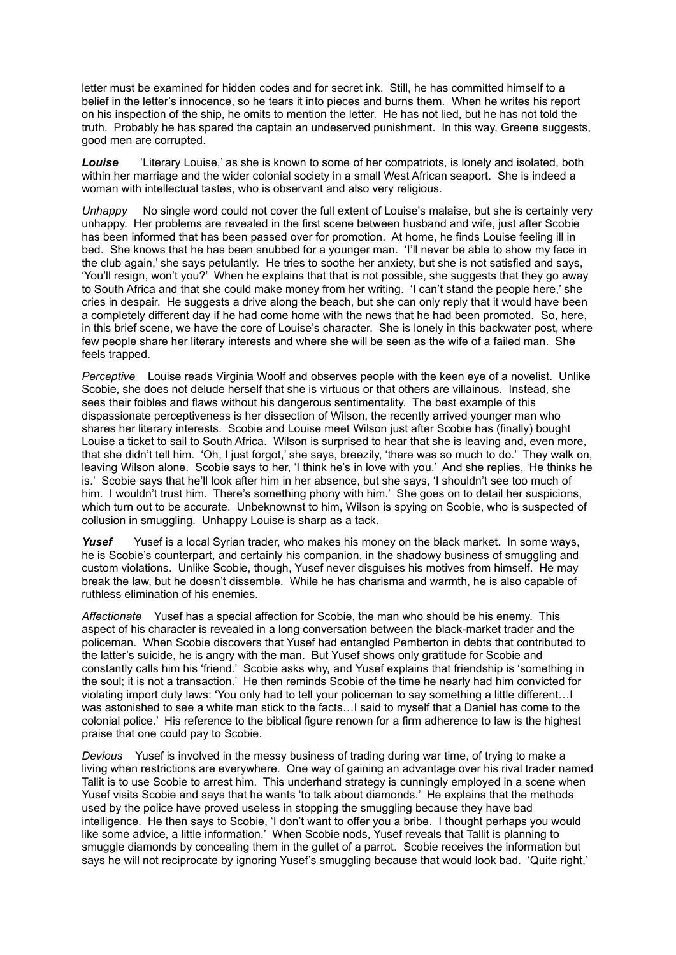letter must be examined for hidden codes and for secret ink. Still, he has committed himself to a belief in the letter's innocence, so he tears it into pieces and burns them. When he writes his report on his inspection of the ship, he omits to mention the letter. He has not lied, but he has not told the truth. Probably he has spared the captain an undeserved punishment. In this way, Greene suggests, good men are corrupted.

*Louise* 'Literary Louise,' as she is known to some of her compatriots, is lonely and isolated, both within her marriage and the wider colonial society in a small West African seaport. She is indeed a woman with intellectual tastes, who is observant and also very religious.

*Unhappy* No single word could not cover the full extent of Louise's malaise, but she is certainly very unhappy. Her problems are revealed in the first scene between husband and wife, just after Scobie has been informed that has been passed over for promotion. At home, he finds Louise feeling ill in bed. She knows that he has been snubbed for a younger man. 'I'll never be able to show my face in the club again,' she says petulantly. He tries to soothe her anxiety, but she is not satisfied and says, 'You'll resign, won't you?' When he explains that that is not possible, she suggests that they go away to South Africa and that she could make money from her writing. 'I can't stand the people here,' she cries in despair. He suggests a drive along the beach, but she can only reply that it would have been a completely different day if he had come home with the news that he had been promoted. So, here, in this brief scene, we have the core of Louise's character. She is lonely in this backwater post, where few people share her literary interests and where she will be seen as the wife of a failed man. She feels trapped.

*Perceptive* Louise reads Virginia Woolf and observes people with the keen eye of a novelist. Unlike Scobie, she does not delude herself that she is virtuous or that others are villainous. Instead, she sees their foibles and flaws without his dangerous sentimentality. The best example of this dispassionate perceptiveness is her dissection of Wilson, the recently arrived younger man who shares her literary interests. Scobie and Louise meet Wilson just after Scobie has (finally) bought Louise a ticket to sail to South Africa. Wilson is surprised to hear that she is leaving and, even more, that she didn't tell him. 'Oh, I just forgot,' she says, breezily, 'there was so much to do.' They walk on, leaving Wilson alone. Scobie says to her, 'I think he's in love with you.' And she replies, 'He thinks he is.' Scobie says that he'll look after him in her absence, but she says, 'I shouldn't see too much of him. I wouldn't trust him. There's something phony with him.' She goes on to detail her suspicions, which turn out to be accurate. Unbeknownst to him, Wilson is spying on Scobie, who is suspected of collusion in smuggling. Unhappy Louise is sharp as a tack.

*Yusef* Yusef is a local Syrian trader, who makes his money on the black market. In some ways, he is Scobie's counterpart, and certainly his companion, in the shadowy business of smuggling and custom violations. Unlike Scobie, though, Yusef never disguises his motives from himself. He may break the law, but he doesn't dissemble. While he has charisma and warmth, he is also capable of ruthless elimination of his enemies.

*Affectionate* Yusef has a special affection for Scobie, the man who should be his enemy. This aspect of his character is revealed in a long conversation between the black-market trader and the policeman. When Scobie discovers that Yusef had entangled Pemberton in debts that contributed to the latter's suicide, he is angry with the man. But Yusef shows only gratitude for Scobie and constantly calls him his 'friend.' Scobie asks why, and Yusef explains that friendship is 'something in the soul; it is not a transaction.' He then reminds Scobie of the time he nearly had him convicted for violating import duty laws: 'You only had to tell your policeman to say something a little different…I was astonished to see a white man stick to the facts…I said to myself that a Daniel has come to the colonial police.' His reference to the biblical figure renown for a firm adherence to law is the highest praise that one could pay to Scobie.

*Devious* Yusef is involved in the messy business of trading during war time, of trying to make a living when restrictions are everywhere. One way of gaining an advantage over his rival trader named Tallit is to use Scobie to arrest him. This underhand strategy is cunningly employed in a scene when Yusef visits Scobie and says that he wants 'to talk about diamonds.' He explains that the methods used by the police have proved useless in stopping the smuggling because they have bad intelligence. He then says to Scobie, 'I don't want to offer you a bribe. I thought perhaps you would like some advice, a little information.' When Scobie nods, Yusef reveals that Tallit is planning to smuggle diamonds by concealing them in the gullet of a parrot. Scobie receives the information but says he will not reciprocate by ignoring Yusef's smuggling because that would look bad. 'Quite right,'